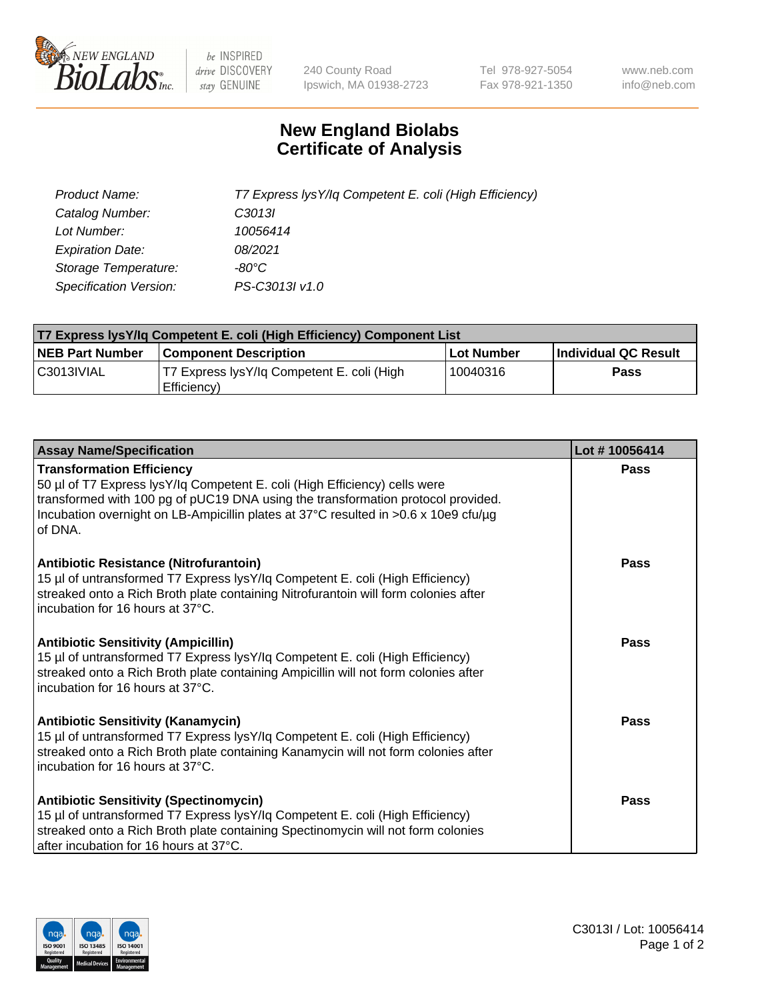

 $be$  INSPIRED drive DISCOVERY stay GENUINE

240 County Road Ipswich, MA 01938-2723 Tel 978-927-5054 Fax 978-921-1350 www.neb.com info@neb.com

## **New England Biolabs Certificate of Analysis**

| Product Name:                 | T7 Express lysY/lq Competent E. coli (High Efficiency) |
|-------------------------------|--------------------------------------------------------|
| Catalog Number:               | C3013I                                                 |
| Lot Number:                   | 10056414                                               |
| <b>Expiration Date:</b>       | 08/2021                                                |
| Storage Temperature:          | -80°C                                                  |
| <b>Specification Version:</b> | PS-C3013I v1.0                                         |

| <b>T7 Express lysY/lg Competent E. coli (High Efficiency) Component List</b> |                                                           |            |                      |  |
|------------------------------------------------------------------------------|-----------------------------------------------------------|------------|----------------------|--|
| <b>NEB Part Number</b>                                                       | <b>Component Description</b>                              | Lot Number | Individual QC Result |  |
| C3013IVIAL                                                                   | T7 Express lysY/lq Competent E. coli (High<br>Efficiency) | 10040316   | Pass                 |  |

| <b>Assay Name/Specification</b>                                                                                                                                                                                                                                                                      | Lot #10056414 |
|------------------------------------------------------------------------------------------------------------------------------------------------------------------------------------------------------------------------------------------------------------------------------------------------------|---------------|
| <b>Transformation Efficiency</b><br>50 µl of T7 Express lysY/lq Competent E. coli (High Efficiency) cells were<br>transformed with 100 pg of pUC19 DNA using the transformation protocol provided.<br>Incubation overnight on LB-Ampicillin plates at 37°C resulted in >0.6 x 10e9 cfu/µg<br>of DNA. | Pass          |
| Antibiotic Resistance (Nitrofurantoin)<br>15 µl of untransformed T7 Express lysY/lq Competent E. coli (High Efficiency)<br>streaked onto a Rich Broth plate containing Nitrofurantoin will form colonies after<br>incubation for 16 hours at 37°C.                                                   | Pass          |
| <b>Antibiotic Sensitivity (Ampicillin)</b><br>15 µl of untransformed T7 Express lysY/lq Competent E. coli (High Efficiency)<br>streaked onto a Rich Broth plate containing Ampicillin will not form colonies after<br>incubation for 16 hours at 37°C.                                               | Pass          |
| <b>Antibiotic Sensitivity (Kanamycin)</b><br>15 µl of untransformed T7 Express lysY/lq Competent E. coli (High Efficiency)<br>streaked onto a Rich Broth plate containing Kanamycin will not form colonies after<br>incubation for 16 hours at 37°C.                                                 | Pass          |
| <b>Antibiotic Sensitivity (Spectinomycin)</b><br>15 µl of untransformed T7 Express lysY/lq Competent E. coli (High Efficiency)<br>streaked onto a Rich Broth plate containing Spectinomycin will not form colonies<br>after incubation for 16 hours at 37°C.                                         | Pass          |